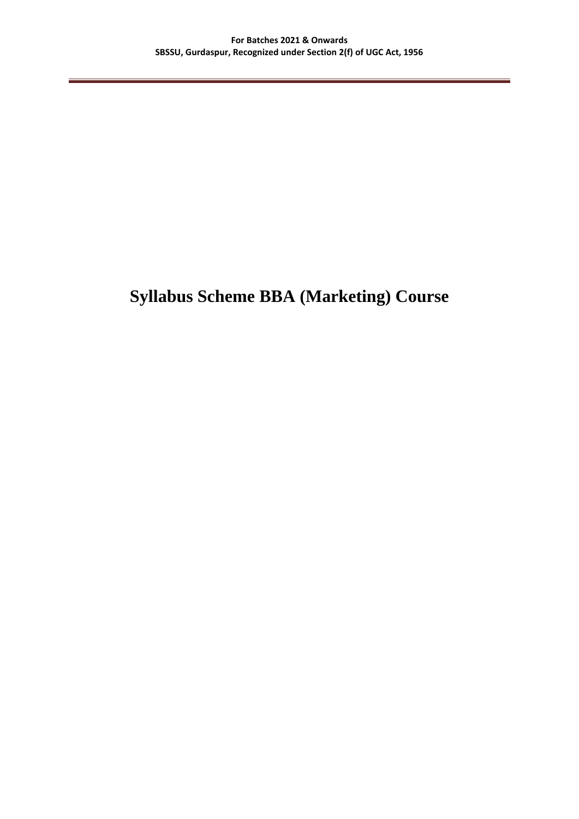# **Syllabus Scheme BBA (Marketing) Course**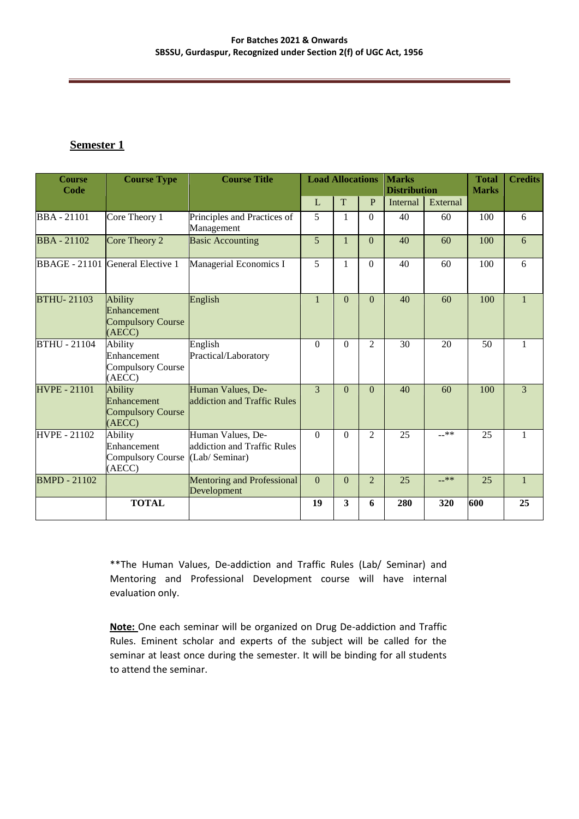### **Semester 1**

| <b>Course</b><br>Code | <b>Course Type</b>                                                  | <b>Course Title</b>                                                | <b>Load Allocations</b><br><b>Marks</b><br><b>Distribution</b> |              |                | <b>Total</b><br><b>Marks</b> | <b>Credits</b> |     |                |
|-----------------------|---------------------------------------------------------------------|--------------------------------------------------------------------|----------------------------------------------------------------|--------------|----------------|------------------------------|----------------|-----|----------------|
|                       |                                                                     |                                                                    | L                                                              | T            | P              | Internal                     | External       |     |                |
| <b>BBA-21101</b>      | Core Theory 1                                                       | Principles and Practices of<br>Management                          | 5                                                              | $\mathbf{1}$ | $\Omega$       | 40                           | 60             | 100 | 6              |
| <b>BBA-21102</b>      | Core Theory 2                                                       | <b>Basic Accounting</b>                                            | 5                                                              | $\mathbf{1}$ | $\theta$       | 40                           | 60             | 100 | 6              |
|                       | BBAGE - 21101 General Elective 1                                    | Managerial Economics I                                             | 5                                                              | 1            | $\Omega$       | 40                           | 60             | 100 | 6              |
| <b>BTHU-21103</b>     | <b>Ability</b><br>Enhancement<br><b>Compulsory Course</b><br>(AECC) | English                                                            | $\mathbf{1}$                                                   | $\Omega$     | $\Omega$       | 40                           | 60             | 100 | $\mathbf{1}$   |
| <b>BTHU - 21104</b>   | Ability<br>Enhancement<br><b>Compulsory Course</b><br>(AECC)        | English<br>Practical/Laboratory                                    | $\Omega$                                                       | $\Omega$     | 2              | 30                           | 20             | 50  | $\mathbf{1}$   |
| <b>HVPE - 21101</b>   | <b>Ability</b><br>Enhancement<br><b>Compulsory Course</b><br>(AECC) | Human Values, De-<br>addiction and Traffic Rules                   | $\mathcal{R}$                                                  | $\Omega$     | $\overline{0}$ | 40                           | 60             | 100 | $\overline{3}$ |
| <b>HVPE - 21102</b>   | Ability<br>Enhancement<br>Compulsory Course<br>(AECC)               | Human Values, De-<br>addiction and Traffic Rules<br>(Lab/ Seminar) | $\Omega$                                                       | $\Omega$     | $\mathfrak{D}$ | 25                           | $-***$         | 25  | $\mathbf{1}$   |
| <b>BMPD - 21102</b>   |                                                                     | <b>Mentoring and Professional</b><br>Development                   | $\Omega$                                                       | $\Omega$     | $\overline{2}$ | 25                           | $-***$         | 25  | $\mathbf{1}$   |
|                       | <b>TOTAL</b>                                                        |                                                                    | 19                                                             | $\mathbf{3}$ | 6              | 280                          | 320            | 600 | 25             |

\*\*The Human Values, De-addiction and Traffic Rules (Lab/ Seminar) and Mentoring and Professional Development course will have internal evaluation only.

**Note:** One each seminar will be organized on Drug De-addiction and Traffic Rules. Eminent scholar and experts of the subject will be called for the seminar at least once during the semester. It will be binding for all students to attend the seminar.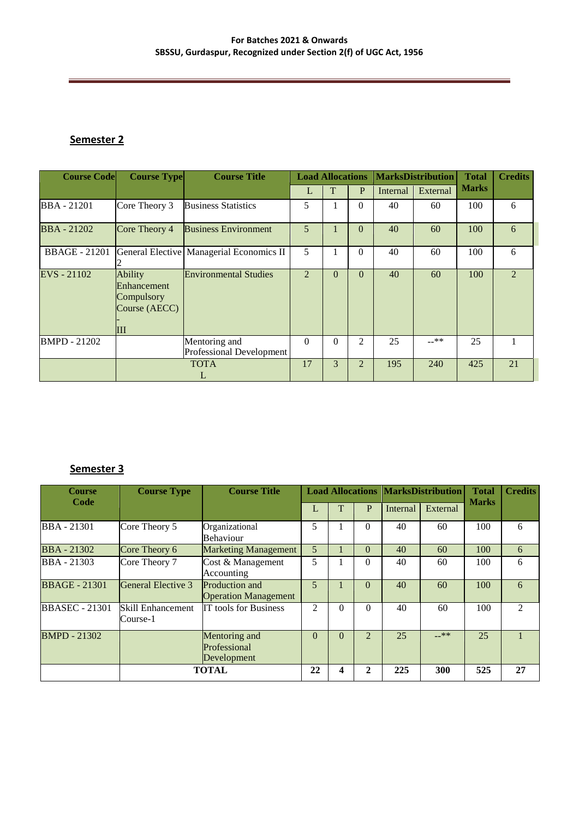#### **For Batches 2021 & Onwards SBSSU, Gurdaspur, Recognized under Section 2(f) of UGC Act, 1956**

# **Semester 2**

| <b>Course Code</b>   | <b>Course Type</b>                                                | <b>Course Title</b>                              |                | <b>Load Allocations</b> |                |          | <b>MarksDistribution</b> | <b>Total</b> | <b>Credits</b> |
|----------------------|-------------------------------------------------------------------|--------------------------------------------------|----------------|-------------------------|----------------|----------|--------------------------|--------------|----------------|
|                      |                                                                   |                                                  | L              | T                       | $\mathbf{P}$   | Internal | External                 | <b>Marks</b> |                |
| <b>BBA</b> - 21201   | Core Theory 3                                                     | <b>Business Statistics</b>                       | 5              |                         | $\Omega$       | 40       | 60                       | 100          | 6              |
| <b>BBA</b> - 21202   | Core Theory 4                                                     | <b>Business Environment</b>                      | 5              |                         | $\theta$       | 40       | 60                       | 100          | 6              |
| <b>BBAGE</b> - 21201 |                                                                   | General Elective   Managerial Economics II       | 5              |                         | $\theta$       | 40       | 60                       | 100          | 6              |
| EVS - 21102          | <b>Ability</b><br>Enhancement<br>Compulsory<br>Course (AECC)<br>Ш | <b>Environmental Studies</b>                     | $\overline{2}$ | $\theta$                | $\theta$       | 40       | 60                       | 100          | $\mathfrak{D}$ |
| <b>BMPD - 21202</b>  |                                                                   | Mentoring and<br><b>Professional Development</b> | $\Omega$       | $\Omega$                | $\overline{2}$ | 25       | $-***$                   | 25           |                |
|                      |                                                                   | <b>TOTA</b><br>L                                 | 17             | 3                       | $\overline{2}$ | 195      | 240                      | 425          | 21             |

# **Semester 3**

| <b>Course</b><br>Code | <b>Course Type</b>                   | <b>Course Title</b>                           |                |   |                |          | <b>Load Allocations MarksDistribution</b> | <b>Total</b><br><b>Marks</b> | <b>Credits</b> |
|-----------------------|--------------------------------------|-----------------------------------------------|----------------|---|----------------|----------|-------------------------------------------|------------------------------|----------------|
|                       |                                      |                                               |                |   | P              | Internal | External                                  |                              |                |
| <b>BBA</b> - 21301    | Core Theory 5                        | Organizational<br><b>Behaviour</b>            | 5              |   | 0              | 40       | 60                                        | 100                          | 6              |
| <b>BBA</b> - 21302    | Core Theory 6                        | <b>Marketing Management</b>                   | 5              |   | $\Omega$       | 40       | 60                                        | 100                          | 6              |
| <b>BBA</b> - 21303    | Core Theory 7                        | Cost & Management<br>Accounting               | 5              |   | 0              | 40       | 60                                        | 100                          | 6              |
| <b>BBAGE - 21301</b>  | General Elective 3                   | Production and<br><b>Operation Management</b> | $\overline{5}$ |   | $\Omega$       | 40       | 60                                        | 100                          | 6              |
| <b>BBASEC</b> - 21301 | <b>Skill Enhancement</b><br>Course-1 | <b>IT tools for Business</b>                  | $\mathfrak{D}$ | 0 | $\Omega$       | 40       | 60                                        | 100                          | 2              |
| <b>BMPD - 21302</b>   |                                      | Mentoring and<br>Professional<br>Development  | $\Omega$       | 0 | $\mathfrak{D}$ | 25       | $-***$                                    | 25                           |                |
|                       |                                      | <b>TOTAL</b>                                  | 22             |   | າ              | 225      | 300                                       | 525                          | 27             |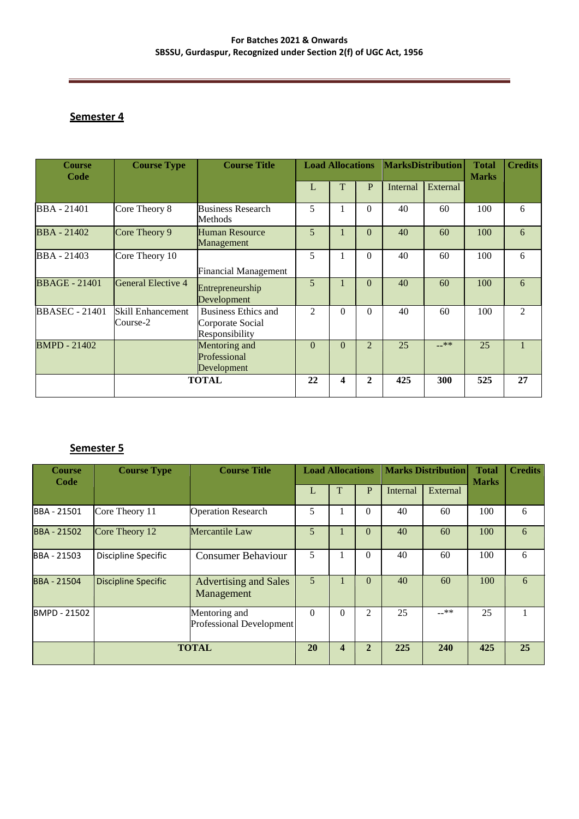# **Semester 4**

| <b>Course</b><br>Code | <b>Course Type</b>            | <b>Course Title</b>                                       | <b>Load Allocations</b> |                |                |          | <b>MarksDistribution</b><br><b>Total</b><br><b>Marks</b> |     | <b>Credits</b> |
|-----------------------|-------------------------------|-----------------------------------------------------------|-------------------------|----------------|----------------|----------|----------------------------------------------------------|-----|----------------|
|                       |                               |                                                           | L                       | T              | P              | Internal | External                                                 |     |                |
| <b>BBA</b> - 21401    | Core Theory 8                 | <b>Business Research</b><br>Methods                       | 5                       |                | $\Omega$       | 40       | 60                                                       | 100 | 6              |
| <b>BBA</b> - 21402    | Core Theory 9                 | <b>Human Resource</b><br>Management                       | 5                       |                | $\Omega$       | 40       | 60                                                       | 100 | 6              |
| BBA - 21403           | Core Theory 10                | <b>Financial Management</b>                               | 5                       |                | $\Omega$       | 40       | 60                                                       | 100 | 6              |
| <b>BBAGE</b> - 21401  | General Elective 4            | Entrepreneurship<br>Development                           | 5                       |                | $\Omega$       | 40       | 60                                                       | 100 | 6              |
| <b>BBASEC</b> - 21401 | Skill Enhancement<br>Course-2 | Business Ethics and<br>Corporate Social<br>Responsibility | $\mathfrak{D}$          | $\theta$       | $\Omega$       | 40       | 60                                                       | 100 | 2              |
| <b>BMPD - 21402</b>   |                               | Mentoring and<br>Professional<br>Development              | $\Omega$                | $\overline{0}$ | $\overline{2}$ | 25       | $-***$                                                   | 25  |                |
|                       |                               | <b>TOTAL</b>                                              | 22                      | 4              | $\mathbf{2}$   | 425      | 300                                                      | 525 | 27             |

# **Semester 5**

| <b>Course</b><br>Code | <b>Course Type</b>         | <b>Course Title</b>                        |          | <b>Marks Distribution</b><br><b>Load Allocations</b> |                |          | <b>Total</b><br><b>Marks</b> | <b>Credits</b> |    |
|-----------------------|----------------------------|--------------------------------------------|----------|------------------------------------------------------|----------------|----------|------------------------------|----------------|----|
|                       |                            |                                            |          | Т                                                    | P              | Internal | External                     |                |    |
| BBA - 21501           | Core Theory 11             | <b>Operation Research</b>                  | 5        |                                                      | $\Omega$       | 40       | 60                           | 100            | 6  |
| <b>BBA - 21502</b>    | Core Theory 12             | Mercantile Law                             | 5        |                                                      | $\theta$       | 40       | 60                           | 100            | 6  |
| BBA - 21503           | Discipline Specific        | <b>Consumer Behaviour</b>                  | 5        |                                                      | 0              | 40       | 60                           | 100            | 6  |
| BBA - 21504           | <b>Discipline Specific</b> | <b>Advertising and Sales</b><br>Management | 5        |                                                      | $\Omega$       | 40       | 60                           | 100            | 6  |
| BMPD - 21502          |                            | Mentoring and<br>Professional Development  | $\Omega$ | $\Omega$                                             | $\mathfrak{D}$ | 25       | $-***$                       | 25             |    |
|                       | <b>TOTAL</b>               |                                            | 20       | 4                                                    | $\mathbf{2}$   | 225      | 240                          | 425            | 25 |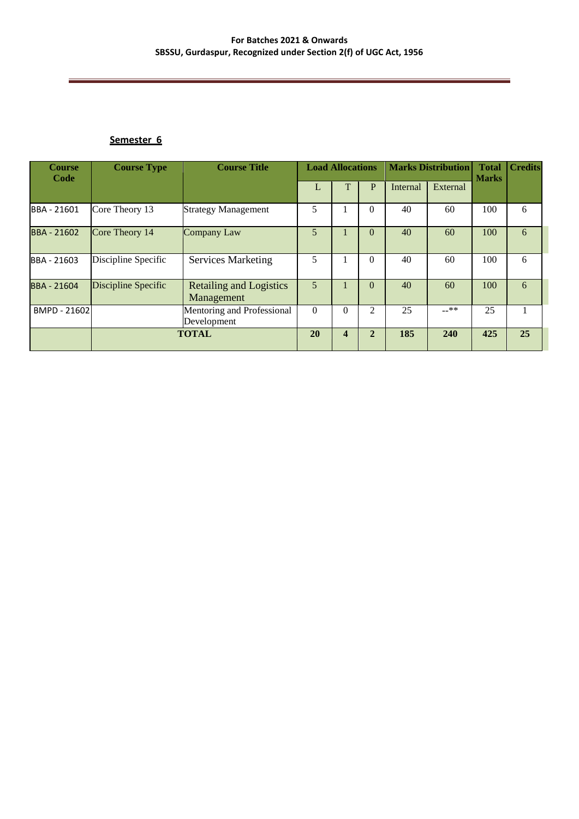#### **Semester 6**

| <b>Course</b><br>Code | <b>Course Type</b>  | <b>Course Title</b>                          | <b>Load Allocations</b> |                         |                | <b>Marks Distribution</b> |          | <b>Total</b><br><b>Marks</b> | <b>Credits</b> |
|-----------------------|---------------------|----------------------------------------------|-------------------------|-------------------------|----------------|---------------------------|----------|------------------------------|----------------|
|                       |                     |                                              |                         | ጥ                       | P              | Internal                  | External |                              |                |
| BBA - 21601           | Core Theory 13      | <b>Strategy Management</b>                   | 5                       |                         | $\theta$       | 40                        | 60       | 100                          | 6              |
| <b>BBA - 21602</b>    | Core Theory 14      | <b>Company Law</b>                           | 5                       |                         | $\theta$       | 40                        | 60       | 100                          | 6              |
| BBA - 21603           | Discipline Specific | <b>Services Marketing</b>                    | 5                       |                         | $\theta$       | 40                        | 60       | 100                          | 6              |
| <b>BBA - 21604</b>    | Discipline Specific | <b>Retailing and Logistics</b><br>Management | 5                       |                         | $\theta$       | 40                        | 60       | 100                          | 6              |
| BMPD - 21602          |                     | Mentoring and Professional<br>Development    | $\Omega$                | $\theta$                | $\overline{c}$ | 25                        | $-***$   | 25                           |                |
|                       |                     | <b>TOTAL</b>                                 | 20                      | $\overline{\mathbf{4}}$ | $\overline{2}$ | 185                       | 240      | 425                          | 25             |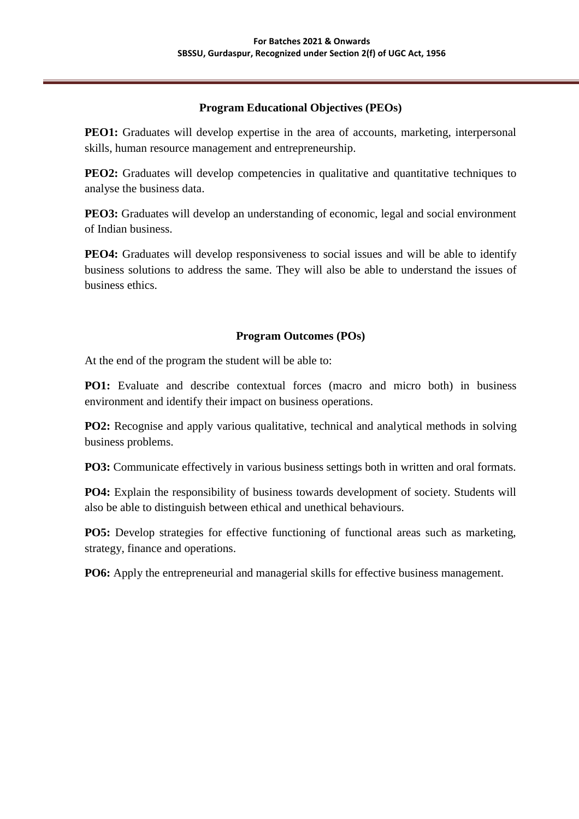# **Program Educational Objectives (PEOs)**

**PEO1:** Graduates will develop expertise in the area of accounts, marketing, interpersonal skills, human resource management and entrepreneurship.

**PEO2:** Graduates will develop competencies in qualitative and quantitative techniques to analyse the business data.

**PEO3:** Graduates will develop an understanding of economic, legal and social environment of Indian business.

**PEO4:** Graduates will develop responsiveness to social issues and will be able to identify business solutions to address the same. They will also be able to understand the issues of business ethics.

# **Program Outcomes (POs)**

At the end of the program the student will be able to:

**PO1:** Evaluate and describe contextual forces (macro and micro both) in business environment and identify their impact on business operations.

**PO2:** Recognise and apply various qualitative, technical and analytical methods in solving business problems.

**PO3:** Communicate effectively in various business settings both in written and oral formats.

**PO4:** Explain the responsibility of business towards development of society. Students will also be able to distinguish between ethical and unethical behaviours.

**PO5:** Develop strategies for effective functioning of functional areas such as marketing, strategy, finance and operations.

**PO6:** Apply the entrepreneurial and managerial skills for effective business management.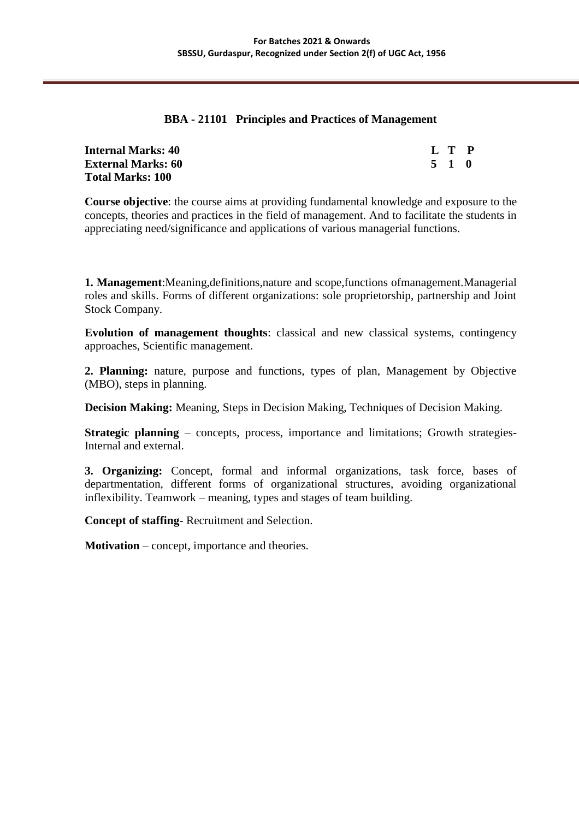### **BBA - 21101 Principles and Practices of Management**

| <b>Internal Marks: 40</b> | L T P |  |
|---------------------------|-------|--|
| <b>External Marks: 60</b> | 5 1 0 |  |
| <b>Total Marks: 100</b>   |       |  |

**Course objective**: the course aims at providing fundamental knowledge and exposure to the concepts, theories and practices in the field of management. And to facilitate the students in appreciating need/significance and applications of various managerial functions.

**1. Management**:Meaning,definitions,nature and scope,functions ofmanagement.Managerial roles and skills. Forms of different organizations: sole proprietorship, partnership and Joint Stock Company.

**Evolution of management thoughts**: classical and new classical systems, contingency approaches, Scientific management.

**2. Planning:** nature, purpose and functions, types of plan, Management by Objective (MBO), steps in planning.

**Decision Making:** Meaning, Steps in Decision Making, Techniques of Decision Making.

**Strategic planning** – concepts, process, importance and limitations; Growth strategies-Internal and external.

**3. Organizing:** Concept, formal and informal organizations, task force, bases of departmentation, different forms of organizational structures, avoiding organizational inflexibility. Teamwork – meaning, types and stages of team building.

**Concept of staffing**- Recruitment and Selection.

**Motivation** – concept, importance and theories.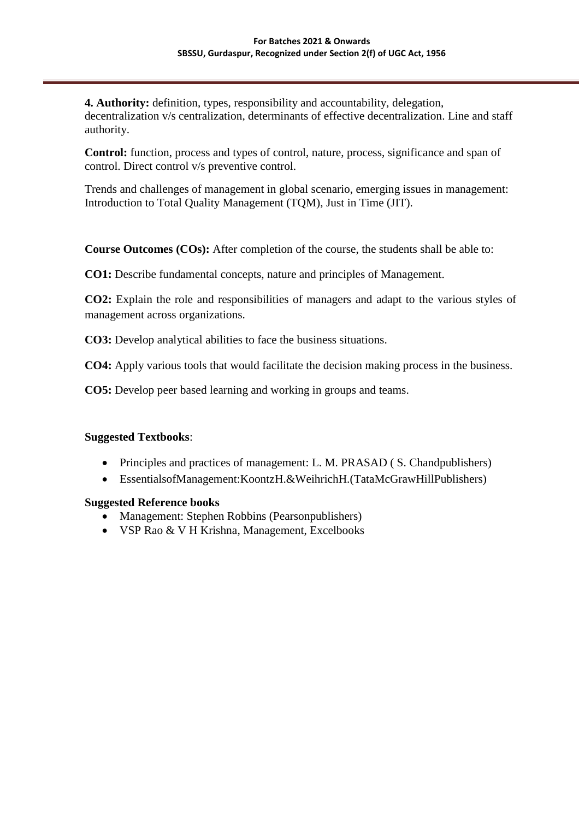**4. Authority:** definition, types, responsibility and accountability, delegation, decentralization v/s centralization, determinants of effective decentralization. Line and staff authority.

**Control:** function, process and types of control, nature, process, significance and span of control. Direct control v/s preventive control.

Trends and challenges of management in global scenario, emerging issues in management: Introduction to Total Quality Management (TQM), Just in Time (JIT).

**Course Outcomes (COs):** After completion of the course, the students shall be able to:

**CO1:** Describe fundamental concepts, nature and principles of Management.

**CO2:** Explain the role and responsibilities of managers and adapt to the various styles of management across organizations.

**CO3:** Develop analytical abilities to face the business situations.

**CO4:** Apply various tools that would facilitate the decision making process in the business.

**CO5:** Develop peer based learning and working in groups and teams.

### **Suggested Textbooks**:

- Principles and practices of management: L. M. PRASAD (S. Chandpublishers)
- EssentialsofManagement:KoontzH.&WeihrichH.(TataMcGrawHillPublishers)

### **Suggested Reference books**

- Management: Stephen Robbins (Pearsonpublishers)
- VSP Rao & V H Krishna, Management, Excelbooks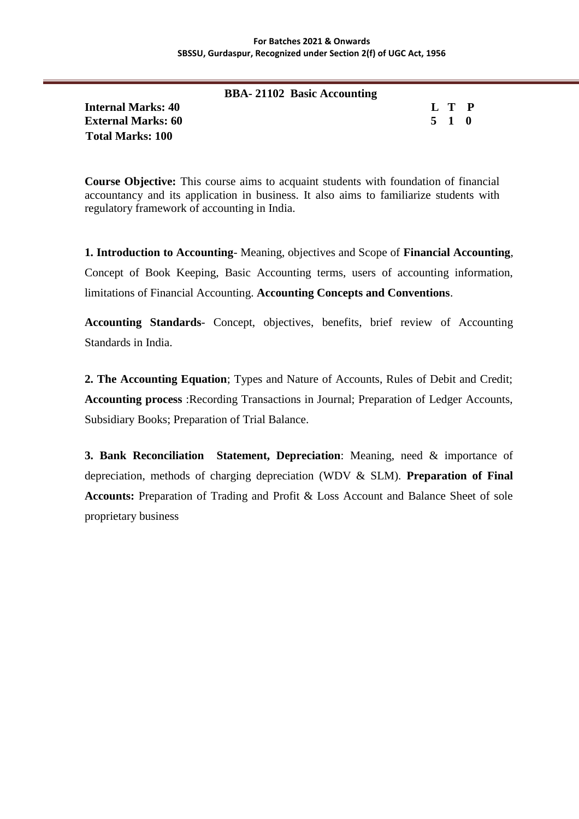|                           | <b>BBA-21102 Basic Accounting</b> |       |  |
|---------------------------|-----------------------------------|-------|--|
| <b>Internal Marks: 40</b> |                                   | L T P |  |
| <b>External Marks: 60</b> |                                   | 5 1 0 |  |
| <b>Total Marks: 100</b>   |                                   |       |  |

**Course Objective:** This course aims to acquaint students with foundation of financial accountancy and its application in business. It also aims to familiarize students with regulatory framework of accounting in India.

**1. Introduction to Accounting**- Meaning, objectives and Scope of **Financial Accounting**, Concept of Book Keeping, Basic Accounting terms, users of accounting information, limitations of Financial Accounting. **Accounting Concepts and Conventions**.

**Accounting Standards**- Concept, objectives, benefits, brief review of Accounting Standards in India.

**2. The Accounting Equation**; Types and Nature of Accounts, Rules of Debit and Credit; **Accounting process** :Recording Transactions in Journal; Preparation of Ledger Accounts, Subsidiary Books; Preparation of Trial Balance.

**3. Bank Reconciliation Statement, Depreciation**: Meaning, need & importance of depreciation, methods of charging depreciation (WDV & SLM). **Preparation of Final Accounts:** Preparation of Trading and Profit & Loss Account and Balance Sheet of sole proprietary business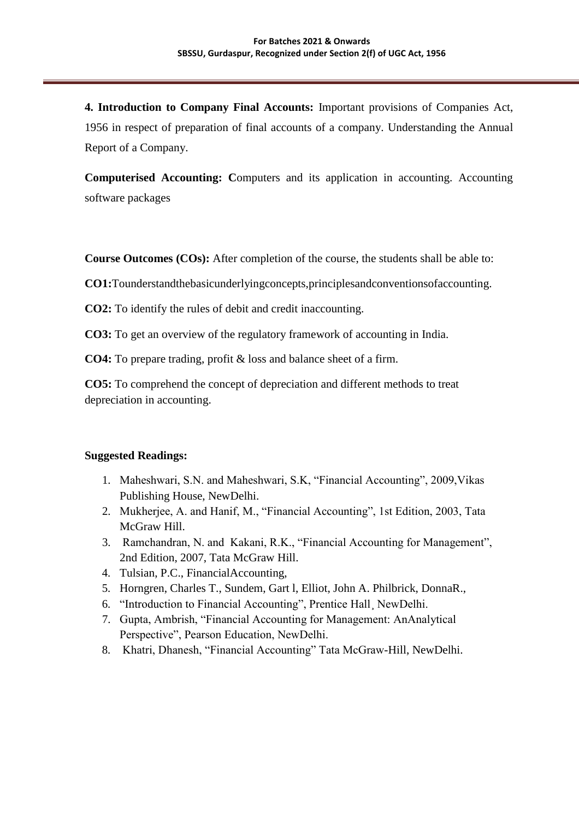**4. Introduction to Company Final Accounts:** Important provisions of Companies Act, 1956 in respect of preparation of final accounts of a company. Understanding the Annual Report of a Company.

**Computerised Accounting: C**omputers and its application in accounting. Accounting software packages

**Course Outcomes (COs):** After completion of the course, the students shall be able to:

**CO1:**Tounderstandthebasicunderlyingconcepts,principlesandconventionsofaccounting.

**CO2:** To identify the rules of debit and credit inaccounting.

**CO3:** To get an overview of the regulatory framework of accounting in India.

**CO4:** To prepare trading, profit & loss and balance sheet of a firm.

**CO5:** To comprehend the concept of depreciation and different methods to treat depreciation in accounting.

# **Suggested Readings:**

- 1. Maheshwari, S.N. and Maheshwari, S.K, "Financial Accounting", 2009,Vikas Publishing House, NewDelhi.
- 2. Mukherjee, A. and Hanif, M., "Financial Accounting", 1st Edition, 2003, Tata McGraw Hill.
- 3. Ramchandran, N. and Kakani, R.K., "Financial Accounting for Management", 2nd Edition, 2007, Tata McGraw Hill.
- 4. Tulsian, P.C., FinancialAccounting,
- 5. Horngren, Charles T., Sundem, Gart l, Elliot, John A. Philbrick, DonnaR.,
- 6. "Introduction to Financial Accounting", Prentice Hall¸ NewDelhi.
- 7. Gupta, Ambrish, "Financial Accounting for Management: AnAnalytical Perspective", Pearson Education, NewDelhi.
- 8. Khatri, Dhanesh, "Financial Accounting" Tata McGraw-Hill, NewDelhi.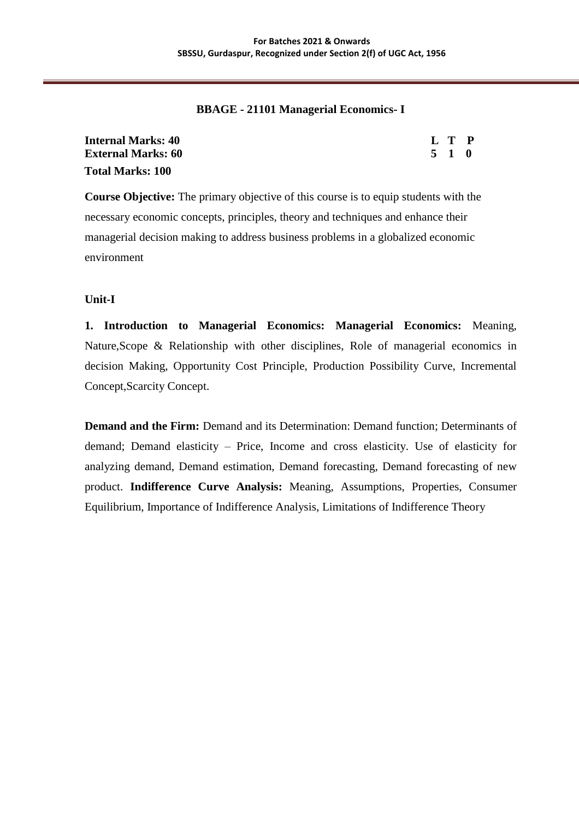### **BBAGE - 21101 Managerial Economics- I**

| Internal Marks: 40        | L T P |  |
|---------------------------|-------|--|
| <b>External Marks: 60</b> | 5 1 0 |  |
| <b>Total Marks: 100</b>   |       |  |

**Course Objective:** The primary objective of this course is to equip students with the necessary economic concepts, principles, theory and techniques and enhance their managerial decision making to address business problems in a globalized economic environment

### **Unit-I**

**1. Introduction to Managerial Economics: Managerial Economics:** Meaning, Nature,Scope & Relationship with other disciplines, Role of managerial economics in decision Making, Opportunity Cost Principle, Production Possibility Curve, Incremental Concept,Scarcity Concept.

**Demand and the Firm:** Demand and its Determination: Demand function; Determinants of demand; Demand elasticity – Price, Income and cross elasticity. Use of elasticity for analyzing demand, Demand estimation, Demand forecasting, Demand forecasting of new product. **Indifference Curve Analysis:** Meaning, Assumptions, Properties, Consumer Equilibrium, Importance of Indifference Analysis, Limitations of Indifference Theory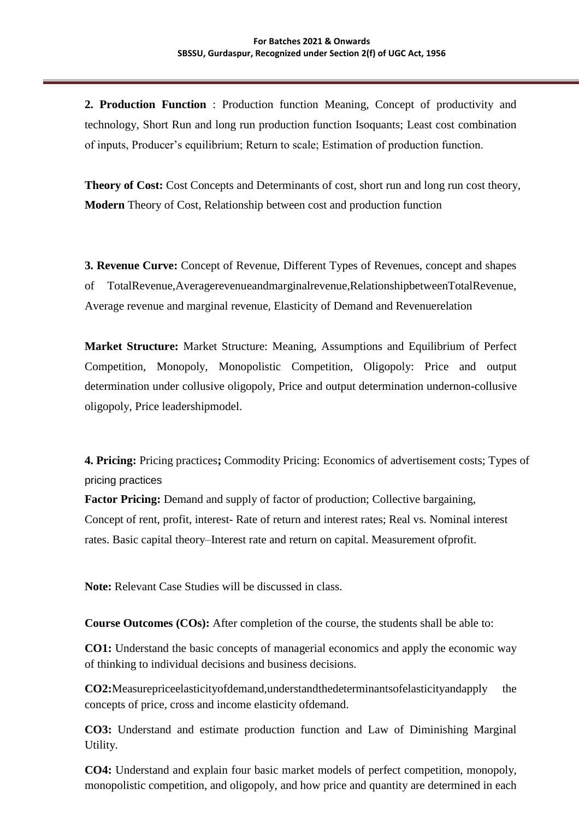**2. Production Function** : Production function Meaning, Concept of productivity and technology, Short Run and long run production function Isoquants; Least cost combination of inputs, Producer"s equilibrium; Return to scale; Estimation of production function.

**Theory of Cost:** Cost Concepts and Determinants of cost, short run and long run cost theory, **Modern** Theory of Cost, Relationship between cost and production function

**3. Revenue Curve:** Concept of Revenue, Different Types of Revenues, concept and shapes of TotalRevenue,Averagerevenueandmarginalrevenue,RelationshipbetweenTotalRevenue, Average revenue and marginal revenue, Elasticity of Demand and Revenuerelation

**Market Structure:** Market Structure: Meaning, Assumptions and Equilibrium of Perfect Competition, Monopoly, Monopolistic Competition, Oligopoly: Price and output determination under collusive oligopoly, Price and output determination undernon-collusive oligopoly, Price leadershipmodel.

**4. Pricing:** Pricing practices**;** Commodity Pricing: Economics of advertisement costs; Types of pricing practices

**Factor Pricing:** Demand and supply of factor of production; Collective bargaining, Concept of rent, profit, interest- Rate of return and interest rates; Real vs. Nominal interest rates. Basic capital theory–Interest rate and return on capital. Measurement ofprofit.

**Note:** Relevant Case Studies will be discussed in class.

**Course Outcomes (COs):** After completion of the course, the students shall be able to:

**CO1:** Understand the basic concepts of managerial economics and apply the economic way of thinking to individual decisions and business decisions.

**CO2:**Measurepriceelasticityofdemand,understandthedeterminantsofelasticityandapply the concepts of price, cross and income elasticity ofdemand.

**CO3:** Understand and estimate production function and Law of Diminishing Marginal Utility.

**CO4:** Understand and explain four basic market models of perfect competition, monopoly, monopolistic competition, and oligopoly, and how price and quantity are determined in each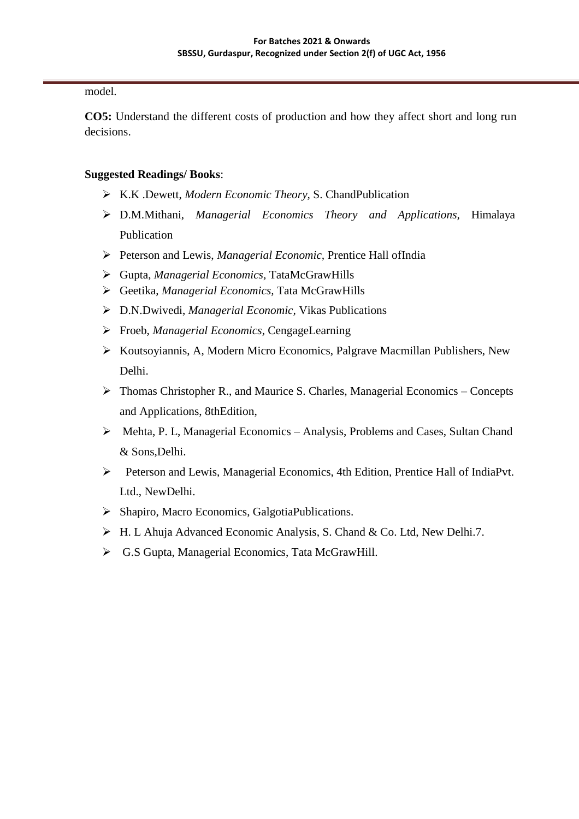model.

**CO5:** Understand the different costs of production and how they affect short and long run decisions.

# **Suggested Readings/ Books**:

- K.K .Dewett, *Modern Economic Theory,* S. ChandPublication
- D.M.Mithani, *Managerial Economics Theory and Applications,* Himalaya Publication
- Peterson and Lewis, *Managerial Economic,* Prentice Hall ofIndia
- Gupta, *Managerial Economics,* TataMcGrawHills
- Geetika, *Managerial Economics,* Tata McGrawHills
- D.N.Dwivedi, *Managerial Economic,* Vikas Publications
- Froeb, *Managerial Economics*, CengageLearning
- Koutsoyiannis, A, Modern Micro Economics, Palgrave Macmillan Publishers, New Delhi.
- Thomas Christopher R., and Maurice S. Charles, Managerial Economics Concepts and Applications, 8thEdition,
- Mehta, P. L, Managerial Economics Analysis, Problems and Cases, Sultan Chand & Sons,Delhi.
- Peterson and Lewis, Managerial Economics, 4th Edition, Prentice Hall of IndiaPvt. Ltd., NewDelhi.
- Shapiro, Macro Economics, GalgotiaPublications.
- H. L Ahuja Advanced Economic Analysis, S. Chand & Co. Ltd, New Delhi.7.
- G.S Gupta, Managerial Economics, Tata McGrawHill.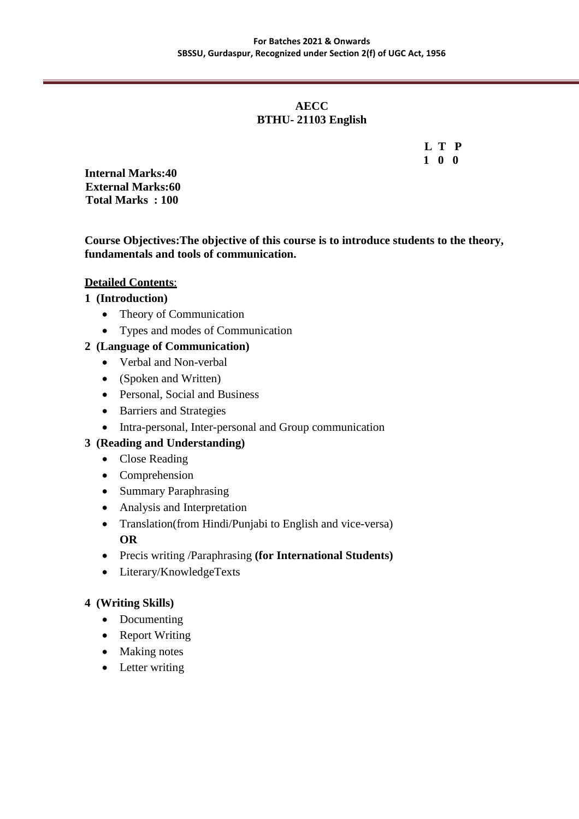# **AECC BTHU- 21103 English**

 **L T P 1 0 0**

**Internal Marks:40 External Marks:60 Total Marks : 100**

**Course Objectives:The objective of this course is to introduce students to the theory, fundamentals and tools of communication.**

# **Detailed Contents**:

# **1 (Introduction)**

- Theory of Communication
- Types and modes of Communication

# **2 (Language of Communication)**

- Verbal and Non-verbal
- (Spoken and Written)
- Personal, Social and Business
- Barriers and Strategies
- Intra-personal, Inter-personal and Group communication

# **3 (Reading and Understanding)**

- Close Reading
- Comprehension
- Summary Paraphrasing
- Analysis and Interpretation
- Translation(from Hindi/Punjabi to English and vice-versa) **OR**
- Precis writing /Paraphrasing **(for International Students)**
- Literary/KnowledgeTexts

# **4 (Writing Skills)**

- Documenting
- Report Writing
- Making notes
- Letter writing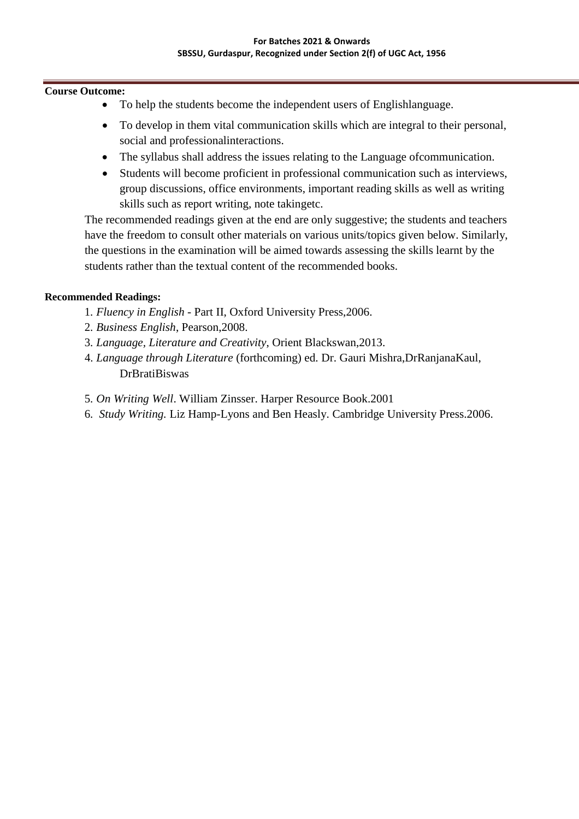### **Course Outcome:**

- To help the students become the independent users of Englishlanguage.
- To develop in them vital communication skills which are integral to their personal, social and professionalinteractions.
- The syllabus shall address the issues relating to the Language ofcommunication.
- Students will become proficient in professional communication such as interviews, group discussions, office environments, important reading skills as well as writing skills such as report writing, note takingetc.

The recommended readings given at the end are only suggestive; the students and teachers have the freedom to consult other materials on various units/topics given below. Similarly, the questions in the examination will be aimed towards assessing the skills learnt by the students rather than the textual content of the recommended books.

### **Recommended Readings:**

- 1. *Fluency in English*  Part II, Oxford University Press,2006.
- 2. *Business English*, Pearson,2008.
- 3. *Language, Literature and Creativity*, Orient Blackswan,2013.
- 4. *Language through Literature* (forthcoming) ed. Dr. Gauri Mishra,DrRanjanaKaul, DrBratiBiswas
- 5. *On Writing Well*. William Zinsser. Harper Resource Book.2001
- 6. *Study Writing.* Liz Hamp-Lyons and Ben Heasly. Cambridge University Press.2006.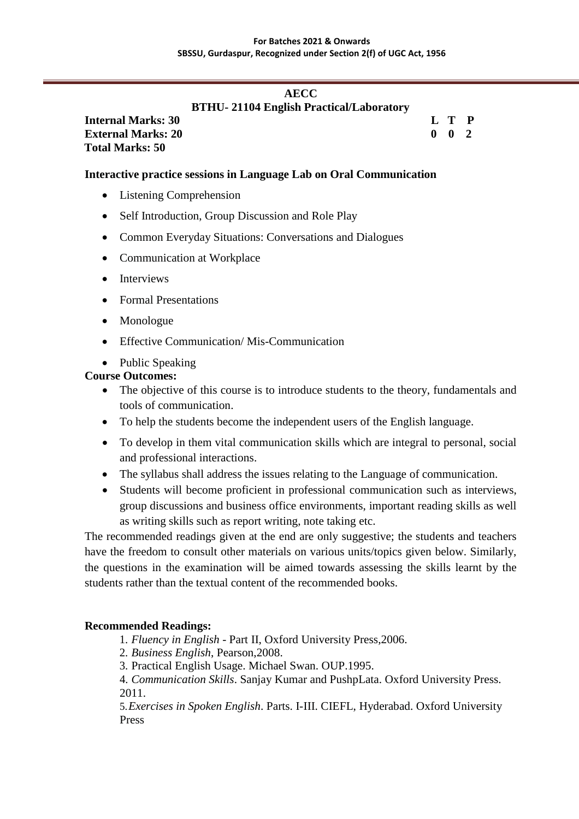# **AECC BTHU- 21104 English Practical/Laboratory**

**Internal Marks: 30 L T P External Marks: 20 0 0 2 Total Marks: 50** 

# **Interactive practice sessions in Language Lab on Oral Communication**

- Listening Comprehension
- Self Introduction, Group Discussion and Role Play
- Common Everyday Situations: Conversations and Dialogues
- Communication at Workplace
- Interviews
- Formal Presentations
- Monologue
- Effective Communication/Mis-Communication
- Public Speaking

### **Course Outcomes:**

- The objective of this course is to introduce students to the theory, fundamentals and tools of communication.
- To help the students become the independent users of the English language.
- To develop in them vital communication skills which are integral to personal, social and professional interactions.
- The syllabus shall address the issues relating to the Language of communication.
- Students will become proficient in professional communication such as interviews, group discussions and business office environments, important reading skills as well as writing skills such as report writing, note taking etc.

The recommended readings given at the end are only suggestive; the students and teachers have the freedom to consult other materials on various units/topics given below. Similarly, the questions in the examination will be aimed towards assessing the skills learnt by the students rather than the textual content of the recommended books.

### **Recommended Readings:**

- 1. *Fluency in English*  Part II, Oxford University Press,2006.
- 2. *Business English*, Pearson,2008.
- 3. Practical English Usage. Michael Swan. OUP.1995.
- 4. *Communication Skills*. Sanjay Kumar and PushpLata. Oxford University Press. 2011.

5.*Exercises in Spoken English*. Parts. I-III. CIEFL, Hyderabad. Oxford University Press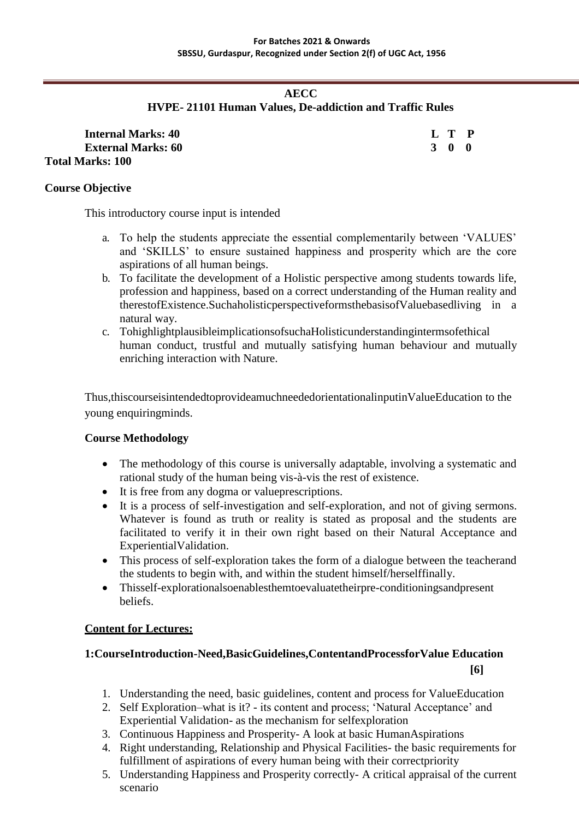# **AECC**

# **HVPE- 21101 Human Values, De-addiction and Traffic Rules**

| <b>Internal Marks: 40</b> | L T P |  |
|---------------------------|-------|--|
| <b>External Marks: 60</b> | 3 0 0 |  |
| Total Marks: 100-         |       |  |

### **Course Objective**

This introductory course input is intended

- a. To help the students appreciate the essential complementarily between "VALUES" and "SKILLS" to ensure sustained happiness and prosperity which are the core aspirations of all human beings.
- b. To facilitate the development of a Holistic perspective among students towards life, profession and happiness, based on a correct understanding of the Human reality and therestofExistence.SuchaholisticperspectiveformsthebasisofValuebasedliving in a natural way.
- c. TohighlightplausibleimplicationsofsuchaHolisticunderstandingintermsofethical human conduct, trustful and mutually satisfying human behaviour and mutually enriching interaction with Nature.

Thus,thiscourseisintendedtoprovideamuchneededorientationalinputinValueEducation to the young enquiringminds.

# **Course Methodology**

- The methodology of this course is universally adaptable, involving a systematic and rational study of the human being vis-à-vis the rest of existence.
- It is free from any dogma or valueprescriptions.
- It is a process of self-investigation and self-exploration, and not of giving sermons. Whatever is found as truth or reality is stated as proposal and the students are facilitated to verify it in their own right based on their Natural Acceptance and ExperientialValidation.
- This process of self-exploration takes the form of a dialogue between the teacherand the students to begin with, and within the student himself/herselffinally.
- Thisself-explorationalsoenablesthemtoevaluatetheirpre-conditioningsandpresent beliefs.

# **Content for Lectures:**

# **1:CourseIntroduction-Need,BasicGuidelines,ContentandProcessforValue Education [6]**

- 1. Understanding the need, basic guidelines, content and process for ValueEducation
- 2. Self Exploration–what is it? its content and process; "Natural Acceptance" and Experiential Validation- as the mechanism for selfexploration
- 3. Continuous Happiness and Prosperity- A look at basic HumanAspirations
- 4. Right understanding, Relationship and Physical Facilities- the basic requirements for fulfillment of aspirations of every human being with their correctpriority
- 5. Understanding Happiness and Prosperity correctly- A critical appraisal of the current scenario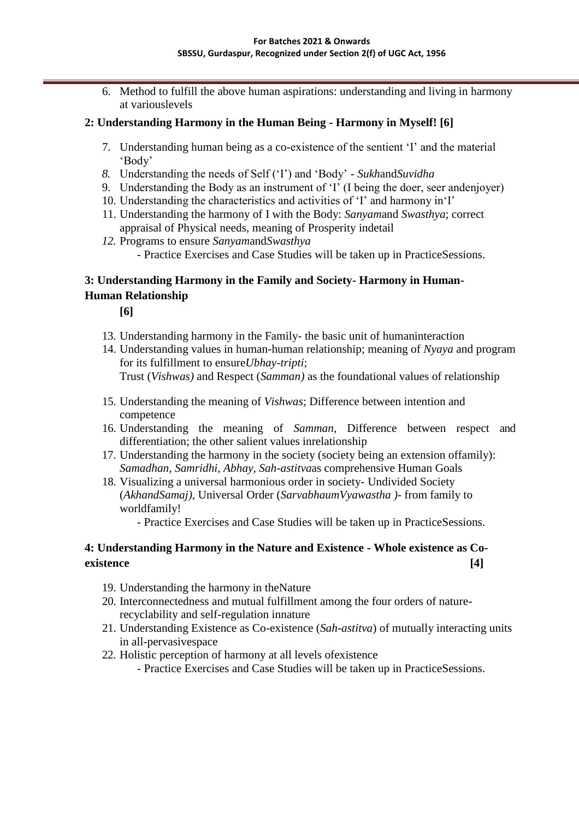6. Method to fulfill the above human aspirations: understanding and living in harmony at variouslevels

# **2: Understanding Harmony in the Human Being - Harmony in Myself! [6]**

- 7. Understanding human being as a co-existence of the sentient "I" and the material "Body"
- *8.* Understanding the needs of Self ("I") and "Body" *Sukh*and*Suvidha*
- 9. Understanding the Body as an instrument of "I" (I being the doer, seer andenjoyer)
- 10. Understanding the characteristics and activities of "I" and harmony in"I"
- 11. Understanding the harmony of I with the Body: *Sanyam*and *Swasthya*; correct appraisal of Physical needs, meaning of Prosperity indetail
- *12.* Programs to ensure *Sanyam*and*Swasthya* - Practice Exercises and Case Studies will be taken up in PracticeSessions.

# **3: Understanding Harmony in the Family and Society- Harmony in Human-Human Relationship**

**[6]**

- 13. Understanding harmony in the Family- the basic unit of humaninteraction
- 14. Understanding values in human-human relationship; meaning of *Nyaya* and program for its fulfillment to ensure*Ubhay-tripti*; Trust (*Vishwas)* and Respect (*Samman)* as the foundational values of relationship
- 15. Understanding the meaning of *Vishwas*; Difference between intention and competence
- 16. Understanding the meaning of *Samman*, Difference between respect and differentiation; the other salient values inrelationship
- 17. Understanding the harmony in the society (society being an extension offamily): *Samadhan, Samridhi, Abhay, Sah-astitva*as comprehensive Human Goals
- 18. Visualizing a universal harmonious order in society- Undivided Society (*AkhandSamaj),* Universal Order (*SarvabhaumVyawastha )*- from family to worldfamily!
	- Practice Exercises and Case Studies will be taken up in PracticeSessions.

# **4: Understanding Harmony in the Nature and Existence - Whole existence as Coexistence [4]**

- 19. Understanding the harmony in theNature
- 20. Interconnectedness and mutual fulfillment among the four orders of naturerecyclability and self-regulation innature
- 21. Understanding Existence as Co-existence (*Sah-astitva*) of mutually interacting units in all-pervasivespace
- 22. Holistic perception of harmony at all levels ofexistence
	- Practice Exercises and Case Studies will be taken up in PracticeSessions.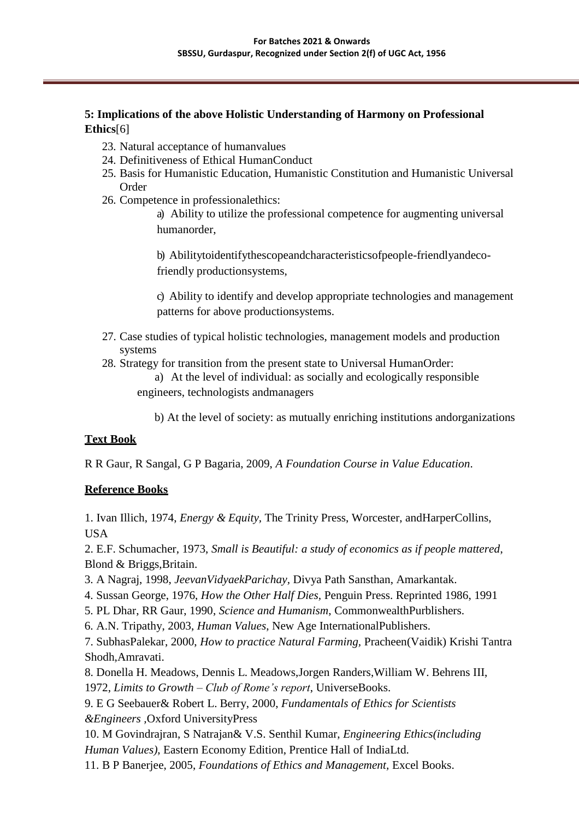# **5: Implications of the above Holistic Understanding of Harmony on Professional Ethics**[6]

- 23. Natural acceptance of humanvalues
- 24. Definitiveness of Ethical HumanConduct
- 25. Basis for Humanistic Education, Humanistic Constitution and Humanistic Universal Order
- 26. Competence in professionalethics:

a) Ability to utilize the professional competence for augmenting universal humanorder,

b) Abilitytoidentifythescopeandcharacteristicsofpeople-friendlyandecofriendly productionsystems,

c) Ability to identify and develop appropriate technologies and management patterns for above productionsystems.

- 27. Case studies of typical holistic technologies, management models and production systems
- 28. Strategy for transition from the present state to Universal HumanOrder:

a) At the level of individual: as socially and ecologically responsible engineers, technologists andmanagers

b) At the level of society: as mutually enriching institutions andorganizations

# **Text Book**

R R Gaur, R Sangal, G P Bagaria, 2009, *A Foundation Course in Value Education*.

# **Reference Books**

1. Ivan Illich, 1974, *Energy & Equity,* The Trinity Press, Worcester, andHarperCollins, USA

2. E.F. Schumacher, 1973, *Small is Beautiful: a study of economics as if people mattered*, Blond & Briggs,Britain.

- 3. A Nagraj, 1998, *JeevanVidyaekParichay,* Divya Path Sansthan, Amarkantak.
- 4. Sussan George, 1976, *How the Other Half Dies,* Penguin Press. Reprinted 1986, 1991
- 5. PL Dhar, RR Gaur, 1990, *Science and Humanism*, CommonwealthPurblishers.
- 6. A.N. Tripathy, 2003, *Human Values*, New Age InternationalPublishers.

7. SubhasPalekar, 2000, *How to practice Natural Farming,* Pracheen(Vaidik) Krishi Tantra Shodh,Amravati.

8. [Donella H. Meadows, Dennis L. Meadows,J](http://en.wikipedia.org/wiki/Donella_Meadows)orgen Randers[,William W. Behrens III,](http://en.wikipedia.org/wiki/J%C3%B8rgen_Randers)

1972, *Limits to Growth – Club of Rome's report*, UniverseBooks.

9. E G Seebauer& Robert L. Berry, 2000, *Fundamentals of Ethics for Scientists &Engineers ,*Oxford UniversityPress

10. M Govindrajran, S Natrajan& V.S. Senthil Kumar, *Engineering Ethics(including Human Values)*, Eastern Economy Edition, Prentice Hall of IndiaLtd.

11. B P Banerjee, 2005, *Foundations of Ethics and Management,* Excel Books.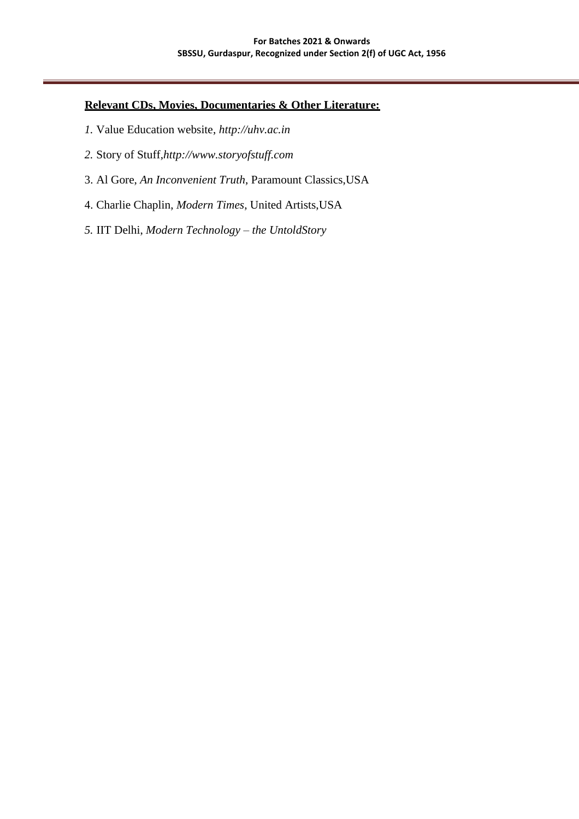# **Relevant CDs, Movies, Documentaries & Other Literature:**

- *1.* Value Education website, *[http://uhv.ac.in](http://uhv.ac.in/)*
- *2.* Story of Stuff,*[http://www.storyofstuff.com](http://www.storyofstuff.com/)*
- 3. Al Gore, *An Inconvenient Truth*, Paramount Classics,USA
- 4. Charlie Chaplin, *Modern Times*, United Artists,USA
- *5.* IIT Delhi, *Modern Technology – the UntoldStory*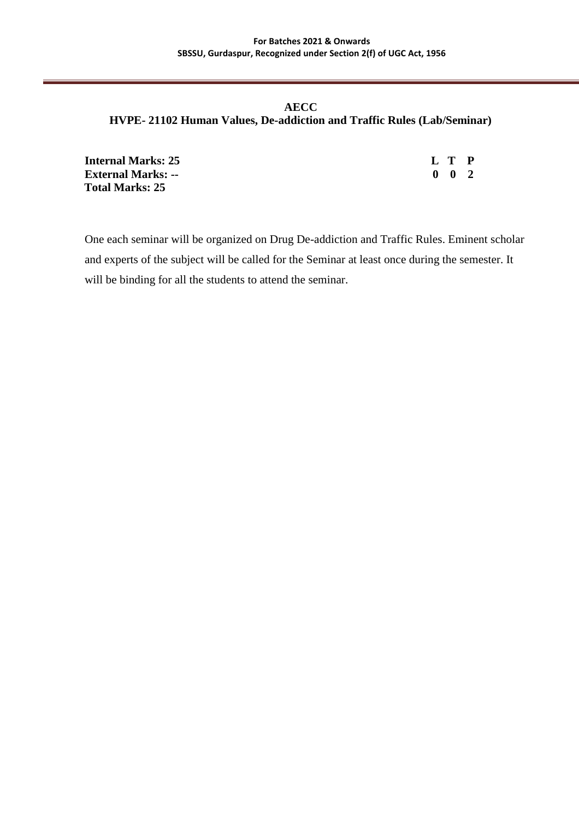# **AECC HVPE- 21102 Human Values, De-addiction and Traffic Rules (Lab/Seminar)**

| <b>Internal Marks: 25</b> | L T P               |  |
|---------------------------|---------------------|--|
| <b>External Marks: --</b> | $0 \quad 0 \quad 2$ |  |
| <b>Total Marks: 25</b>    |                     |  |

One each seminar will be organized on Drug De-addiction and Traffic Rules. Eminent scholar and experts of the subject will be called for the Seminar at least once during the semester. It will be binding for all the students to attend the seminar.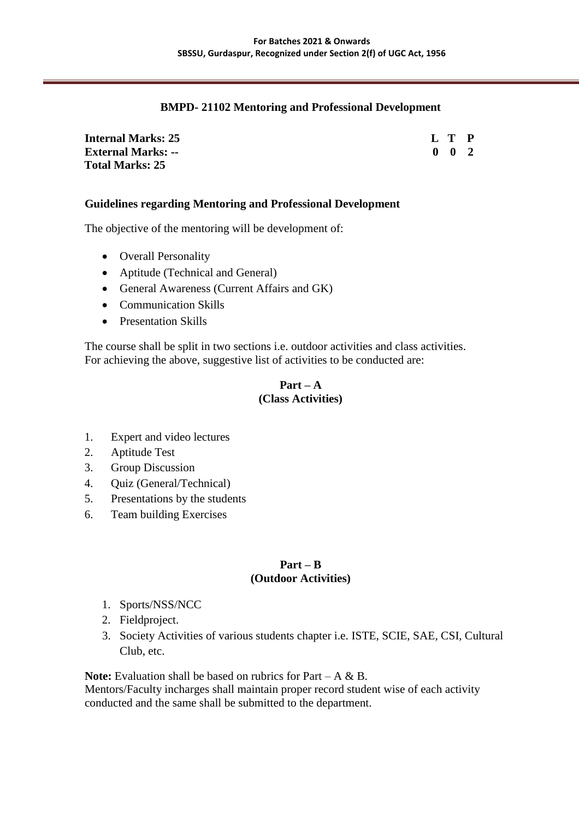### **BMPD- 21102 Mentoring and Professional Development**

| <b>Internal Marks: 25</b> | L T P               |  |
|---------------------------|---------------------|--|
| <b>External Marks: --</b> | $0 \quad 0 \quad 2$ |  |
| <b>Total Marks: 25</b>    |                     |  |

### **Guidelines regarding Mentoring and Professional Development**

The objective of the mentoring will be development of:

- Overall Personality
- Aptitude (Technical and General)
- General Awareness (Current Affairs and GK)
- Communication Skills
- Presentation Skills

The course shall be split in two sections i.e. outdoor activities and class activities. For achieving the above, suggestive list of activities to be conducted are:

### **Part – A (Class Activities)**

- 1. Expert and video lectures
- 2. Aptitude Test
- 3. Group Discussion
- 4. Quiz (General/Technical)
- 5. Presentations by the students
- 6. Team building Exercises

### **Part – B (Outdoor Activities)**

- 1. Sports/NSS/NCC
- 2. Fieldproject.
- 3. Society Activities of various students chapter i.e. ISTE, SCIE, SAE, CSI, Cultural Club, etc.

**Note:** Evaluation shall be based on rubrics for Part – A & B.

Mentors/Faculty incharges shall maintain proper record student wise of each activity conducted and the same shall be submitted to the department.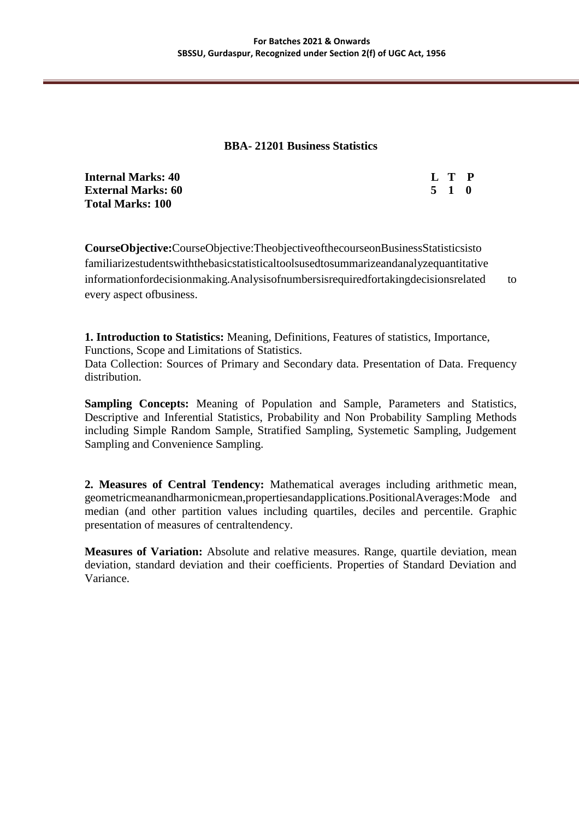### **BBA- 21201 Business Statistics**

| <b>Internal Marks: 40</b> |       | L T P |  |
|---------------------------|-------|-------|--|
| <b>External Marks: 60</b> | 5 1 0 |       |  |
| <b>Total Marks: 100</b>   |       |       |  |

**CourseObjective:**CourseObjective:TheobjectiveofthecourseonBusinessStatisticsisto familiarizestudentswiththebasicstatisticaltoolsusedtosummarizeandanalyzequantitative informationfordecisionmaking.Analysisofnumbersisrequiredfortakingdecisionsrelated to every aspect ofbusiness.

**1. Introduction to Statistics:** Meaning, Definitions, Features of statistics, Importance, Functions, Scope and Limitations of Statistics.

Data Collection: Sources of Primary and Secondary data. Presentation of Data. Frequency distribution.

**Sampling Concepts:** Meaning of Population and Sample, Parameters and Statistics, Descriptive and Inferential Statistics, Probability and Non Probability Sampling Methods including Simple Random Sample, Stratified Sampling, Systemetic Sampling, Judgement Sampling and Convenience Sampling.

**2. Measures of Central Tendency:** Mathematical averages including arithmetic mean, geometricmeanandharmonicmean,propertiesandapplications.PositionalAverages:Mode and median (and other partition values including quartiles, deciles and percentile. Graphic presentation of measures of centraltendency.

**Measures of Variation:** Absolute and relative measures. Range, quartile deviation, mean deviation, standard deviation and their coefficients. Properties of Standard Deviation and Variance.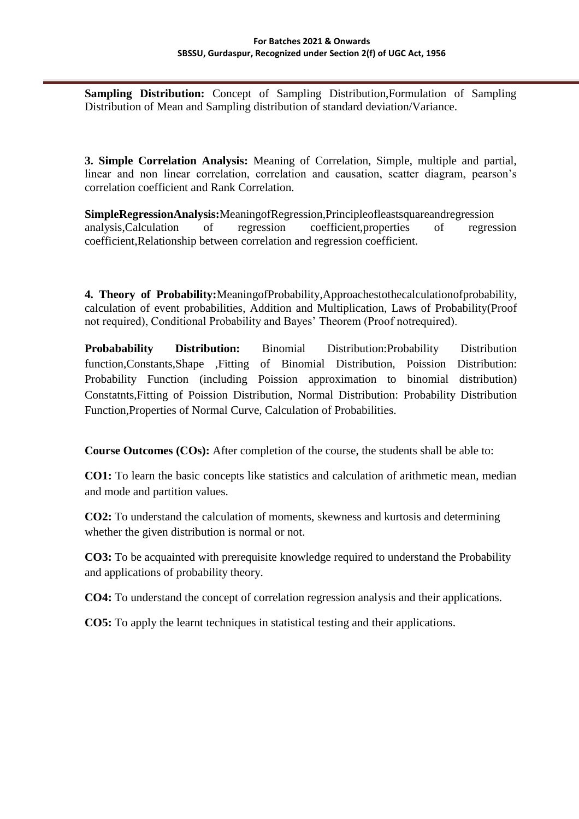**Sampling Distribution:** Concept of Sampling Distribution,Formulation of Sampling Distribution of Mean and Sampling distribution of standard deviation/Variance.

**3. Simple Correlation Analysis:** Meaning of Correlation, Simple, multiple and partial, linear and non linear correlation, correlation and causation, scatter diagram, pearson's correlation coefficient and Rank Correlation.

**SimpleRegressionAnalysis:**MeaningofRegression,Principleofleastsquareandregression analysis,Calculation of regression coefficient,properties of regression coefficient,Relationship between correlation and regression coefficient.

**4. Theory of Probability:**MeaningofProbability,Approachestothecalculationofprobability, calculation of event probabilities, Addition and Multiplication, Laws of Probability(Proof not required), Conditional Probability and Bayes' Theorem (Proof notrequired).

**Probabability Distribution:** Binomial Distribution: Probability Distribution function,Constants,Shape ,Fitting of Binomial Distribution, Poission Distribution: Probability Function (including Poission approximation to binomial distribution) Constatnts,Fitting of Poission Distribution, Normal Distribution: Probability Distribution Function,Properties of Normal Curve, Calculation of Probabilities.

**Course Outcomes (COs):** After completion of the course, the students shall be able to:

**CO1:** To learn the basic concepts like statistics and calculation of arithmetic mean, median and mode and partition values.

**CO2:** To understand the calculation of moments, skewness and kurtosis and determining whether the given distribution is normal or not.

**CO3:** To be acquainted with prerequisite knowledge required to understand the Probability and applications of probability theory.

**CO4:** To understand the concept of correlation regression analysis and their applications.

**CO5:** To apply the learnt techniques in statistical testing and their applications.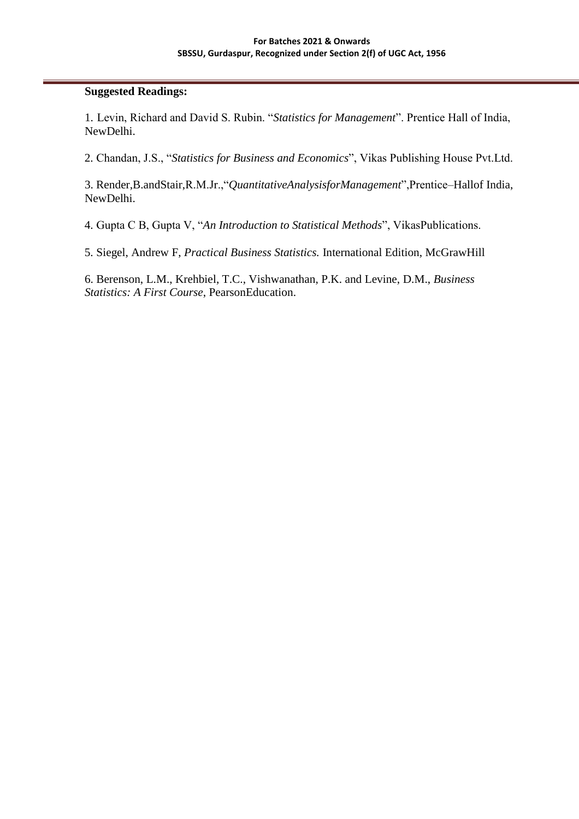### **Suggested Readings:**

1. Levin, Richard and David S. Rubin. "*Statistics for Management*". Prentice Hall of India, NewDelhi.

2. Chandan, J.S., "*Statistics for Business and Economics*", Vikas Publishing House Pvt.Ltd.

3. Render,B.andStair,R.M.Jr.,"*QuantitativeAnalysisforManagement*",Prentice–Hallof India, NewDelhi.

4. Gupta C B, Gupta V, "*An Introduction to Statistical Methods*", VikasPublications.

5. Siegel, Andrew F, *Practical Business Statistics.* International Edition, McGrawHill

6. Berenson, L.M., Krehbiel, T.C., Vishwanathan, P.K. and Levine, D.M., *Business Statistics: A First Course*, PearsonEducation.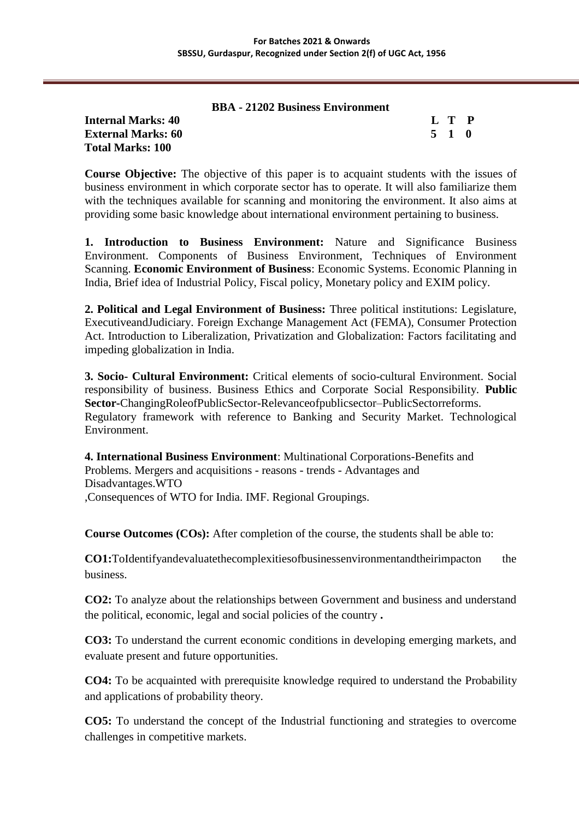### **BBA - 21202 Business Environment**

### **Internal Marks: 40 L T P External Marks: 60 5 1 0 Total Marks: 100**

**Course Objective:** The objective of this paper is to acquaint students with the issues of business environment in which corporate sector has to operate. It will also familiarize them with the techniques available for scanning and monitoring the environment. It also aims at providing some basic knowledge about international environment pertaining to business.

**1. Introduction to Business Environment:** Nature and Significance Business Environment. Components of Business Environment, Techniques of Environment Scanning. **Economic Environment of Business**: Economic Systems. Economic Planning in India, Brief idea of Industrial Policy, Fiscal policy, Monetary policy and EXIM policy.

**2. Political and Legal Environment of Business:** Three political institutions: Legislature, ExecutiveandJudiciary. Foreign Exchange Management Act (FEMA), Consumer Protection Act. Introduction to Liberalization, Privatization and Globalization: Factors facilitating and impeding globalization in India.

**3. Socio- Cultural Environment:** Critical elements of socio-cultural Environment. Social responsibility of business. Business Ethics and Corporate Social Responsibility. **Public Sector-**ChangingRoleofPublicSector-Relevanceofpublicsector–PublicSectorreforms. Regulatory framework with reference to Banking and Security Market. Technological Environment.

**4. International Business Environment**: Multinational Corporations-Benefits and Problems. Mergers and acquisitions - reasons - trends - Advantages and Disadvantages.WTO ,Consequences of WTO for India. IMF. Regional Groupings.

**Course Outcomes (COs):** After completion of the course, the students shall be able to:

**CO1:**ToIdentifyandevaluatethecomplexitiesofbusinessenvironmentandtheirimpacton the business.

**CO2:** To analyze about the relationships between Government and business and understand the political, economic, legal and social policies of the country **.**

**CO3:** To understand the current economic conditions in developing emerging markets, and evaluate present and future opportunities.

**CO4:** To be acquainted with prerequisite knowledge required to understand the Probability and applications of probability theory.

**CO5:** To understand the concept of the Industrial functioning and strategies to overcome challenges in competitive markets.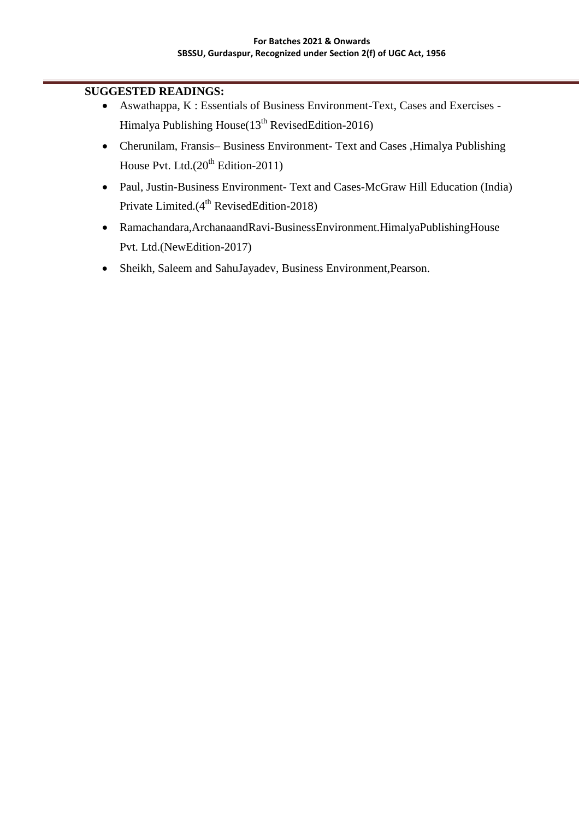# **SUGGESTED READINGS:**

- Aswathappa, K : Essentials of Business Environment-Text, Cases and Exercises Himalya Publishing House(13<sup>th</sup> RevisedEdition-2016)
- Cherunilam, Fransis– Business Environment- Text and Cases ,Himalya Publishing House Pvt. Ltd. $(20^{th}$  Edition-2011)
- Paul, Justin-Business Environment- Text and Cases-McGraw Hill Education (India) Private Limited.(4<sup>th</sup> RevisedEdition-2018)
- Ramachandara,ArchanaandRavi-BusinessEnvironment.HimalyaPublishingHouse Pvt. Ltd.(NewEdition-2017)
- Sheikh, Saleem and SahuJayadev, Business Environment,Pearson.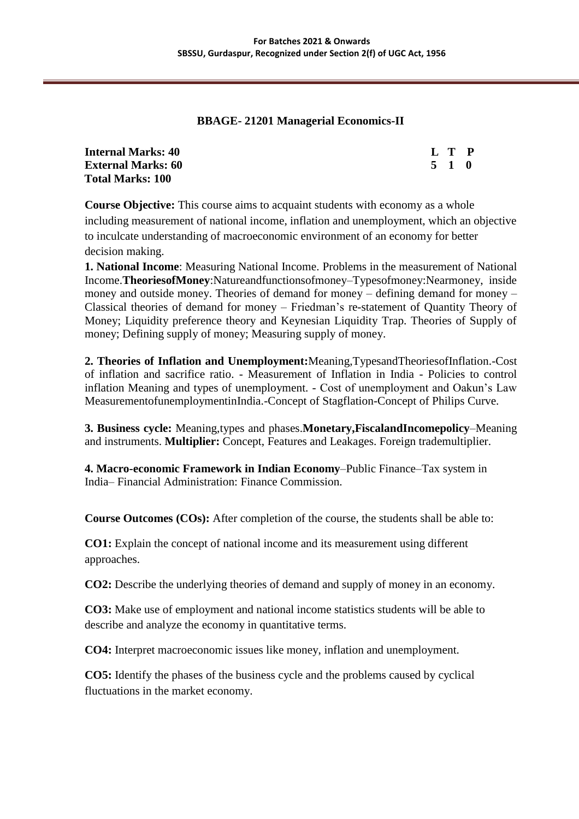# **BBAGE- 21201 Managerial Economics-II**

| <b>Internal Marks: 40</b> | L T P |  |
|---------------------------|-------|--|
| <b>External Marks: 60</b> | 5 1 0 |  |
| <b>Total Marks: 100</b>   |       |  |

**Course Objective:** This course aims to acquaint students with economy as a whole including measurement of national income, inflation and unemployment, which an objective to inculcate understanding of macroeconomic environment of an economy for better decision making.

**1. National Income**: Measuring National Income. Problems in the measurement of National Income.**TheoriesofMoney**:Natureandfunctionsofmoney–Typesofmoney:Nearmoney, inside money and outside money. Theories of demand for money – defining demand for money – Classical theories of demand for money – Friedman"s re-statement of Quantity Theory of Money; Liquidity preference theory and Keynesian Liquidity Trap. Theories of Supply of money; Defining supply of money; Measuring supply of money.

**2. Theories of Inflation and Unemployment:**Meaning,TypesandTheoriesofInflation.-Cost of inflation and sacrifice ratio. - Measurement of Inflation in India - Policies to control inflation Meaning and types of unemployment. - Cost of unemployment and Oakun"s Law MeasurementofunemploymentinIndia.-Concept of Stagflation-Concept of Philips Curve.

**3. Business cycle:** Meaning,types and phases.**Monetary,FiscalandIncomepolicy**–Meaning and instruments. **Multiplier:** Concept, Features and Leakages. Foreign trademultiplier.

**4. Macro-economic Framework in Indian Economy**–Public Finance–Tax system in India– Financial Administration: Finance Commission.

**Course Outcomes (COs):** After completion of the course, the students shall be able to:

**CO1:** Explain the concept of national income and its measurement using different approaches.

**CO2:** Describe the underlying theories of demand and supply of money in an economy.

**CO3:** Make use of employment and national income statistics students will be able to describe and analyze the economy in quantitative terms.

**CO4:** Interpret macroeconomic issues like money, inflation and unemployment.

**CO5:** Identify the phases of the business cycle and the problems caused by cyclical fluctuations in the market economy.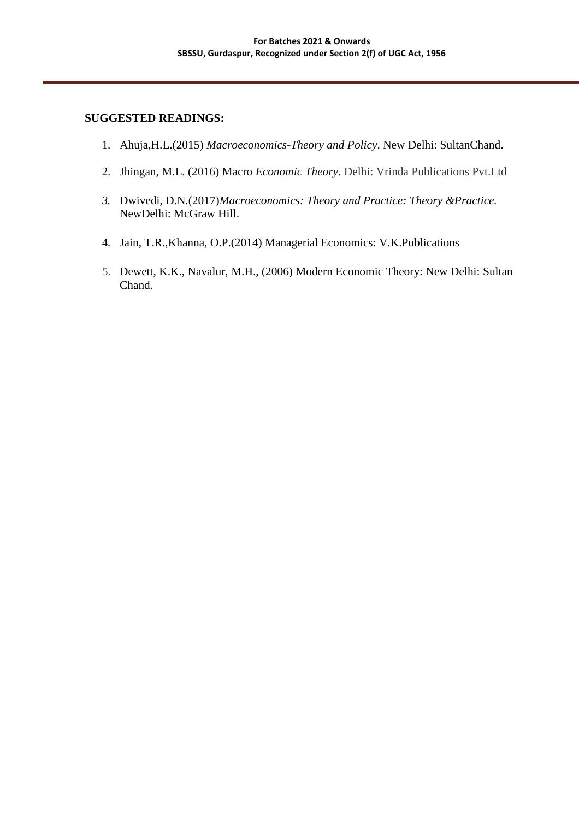# **SUGGESTED READINGS:**

- 1. Ahuja,H.L.(2015) *[Macroeconomics-](https://www.amazon.in/gp/bestsellers/books/14267740031/ref%3Dpd_zg_hrsr_books_2_4_last)Theory and Policy*. New Delhi: SultanChand.
- 2. Jhingan, M.L. (2016) Macro *Economic Theory.* Delhi: Vrinda Publications Pvt.Ltd
- *3.* Dwivedi, D.N.(2017)*Macroeconomics: Theory and Practice: Theory &Practice.* NewDelhi: McGraw Hill.
- 4. [Jain,](https://www.amazon.in/s/ref%3Ddp_byline_sr_book_1?ie=UTF8&field-author=T%2BR%2BJain&search-alias=stripbooks) T.R.[,Khanna,](https://www.amazon.in/s/ref%3Ddp_byline_sr_book_2?ie=UTF8&field-author=O%2BP%2BKhanna&search-alias=stripbooks) O.P.(2014) Managerial Economics: V.K.Publications
- 5. [Dewett, K.K., Navalur, M](https://www.amazon.in/s/ref%3Ddp_byline_sr_book_1?ie=UTF8&field-author=K%2BK%2BDewett%2B%26%2BM%2BH%2BNavalur&search-alias=stripbooks).H., (2006) Modern Economic Theory: New Delhi: Sultan Chand.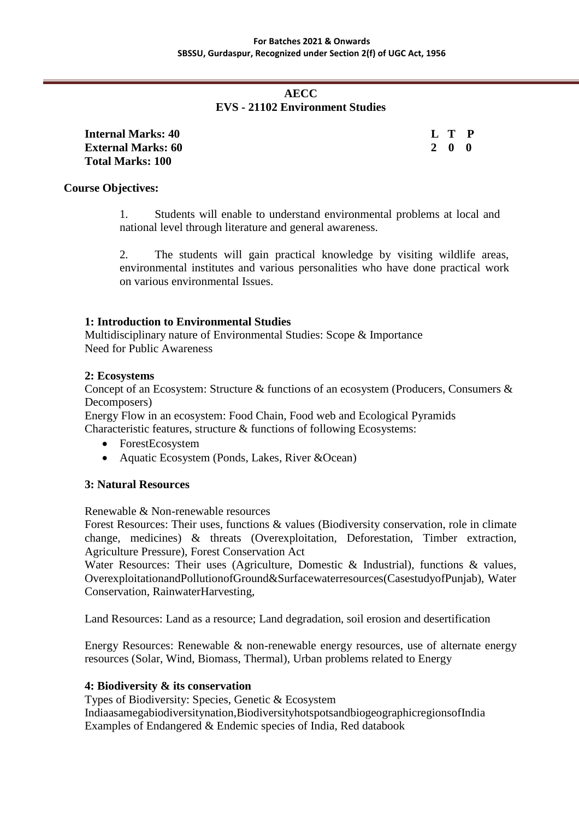# **AECC EVS - 21102 Environment Studies**

| Internal Marks: 40        | L T P |  |
|---------------------------|-------|--|
| <b>External Marks: 60</b> | 200   |  |
| <b>Total Marks: 100</b>   |       |  |

### **Course Objectives:**

1. Students will enable to understand environmental problems at local and national level through literature and general awareness.

2. The students will gain practical knowledge by visiting wildlife areas, environmental institutes and various personalities who have done practical work on various environmental Issues.

# **1: Introduction to Environmental Studies**

Multidisciplinary nature of Environmental Studies: Scope & Importance Need for Public Awareness

### **2: Ecosystems**

Concept of an Ecosystem: Structure & functions of an ecosystem (Producers, Consumers & Decomposers)

Energy Flow in an ecosystem: Food Chain, Food web and Ecological Pyramids Characteristic features, structure & functions of following Ecosystems:

- ForestEcosystem
- Aquatic Ecosystem (Ponds, Lakes, River & Ocean)

### **3: Natural Resources**

Renewable & Non-renewable resources

Forest Resources: Their uses, functions & values (Biodiversity conservation, role in climate change, medicines) & threats (Overexploitation, Deforestation, Timber extraction, Agriculture Pressure), Forest Conservation Act

Water Resources: Their uses (Agriculture, Domestic & Industrial), functions & values, OverexploitationandPollutionofGround&Surfacewaterresources(CasestudyofPunjab), Water Conservation, RainwaterHarvesting,

Land Resources: Land as a resource; Land degradation, soil erosion and desertification

Energy Resources: Renewable  $\&$  non-renewable energy resources, use of alternate energy resources (Solar, Wind, Biomass, Thermal), Urban problems related to Energy

### **4: Biodiversity & its conservation**

Types of Biodiversity: Species, Genetic & Ecosystem Indiaasamegabiodiversitynation,BiodiversityhotspotsandbiogeographicregionsofIndia Examples of Endangered & Endemic species of India, Red databook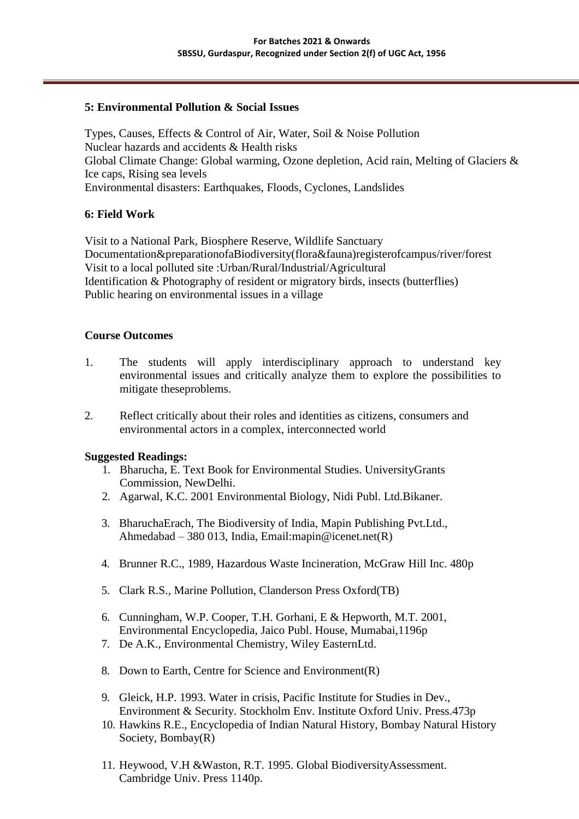### **5: Environmental Pollution & Social Issues**

Types, Causes, Effects & Control of Air, Water, Soil & Noise Pollution Nuclear hazards and accidents & Health risks Global Climate Change: Global warming, Ozone depletion, Acid rain, Melting of Glaciers & Ice caps, Rising sea levels Environmental disasters: Earthquakes, Floods, Cyclones, Landslides

### **6: Field Work**

Visit to a National Park, Biosphere Reserve, Wildlife Sanctuary Documentation&preparationofaBiodiversity(flora&fauna)registerofcampus/river/forest Visit to a local polluted site :Urban/Rural/Industrial/Agricultural Identification & Photography of resident or migratory birds, insects (butterflies) Public hearing on environmental issues in a village

### **Course Outcomes**

- 1. The students will apply interdisciplinary approach to understand key environmental issues and critically analyze them to explore the possibilities to mitigate theseproblems.
- 2. Reflect critically about their roles and identities as citizens, consumers and environmental actors in a complex, interconnected world

### **Suggested Readings:**

- 1. Bharucha, E. Text Book for Environmental Studies. UniversityGrants Commission, NewDelhi.
- 2. Agarwal, K.C. 2001 Environmental Biology, Nidi Publ. Ltd.Bikaner.
- 3. BharuchaErach, The Biodiversity of India, Mapin Publishing Pvt.Ltd., Ahmedabad – 380 013, Indi[a, Email:mapin@icenet.net\(](mailto:mapin@icenet.net)R)
- 4. Brunner R.C., 1989, Hazardous Waste Incineration, McGraw Hill Inc. 480p
- 5. Clark R.S., Marine Pollution, Clanderson Press Oxford(TB)
- 6. Cunningham, W.P. Cooper, T.H. Gorhani, E & Hepworth, M.T. 2001, Environmental Encyclopedia, Jaico Publ. House, Mumabai,1196p
- 7. De A.K., Environmental Chemistry, Wiley EasternLtd.
- 8. Down to Earth, Centre for Science and Environment(R)
- 9. Gleick, H.P. 1993. Water in crisis, Pacific Institute for Studies in Dev., Environment & Security. Stockholm Env. Institute Oxford Univ. Press.473p
- 10. Hawkins R.E., Encyclopedia of Indian Natural History, Bombay Natural History Society, Bombay(R)
- 11. Heywood, V.H &Waston, R.T. 1995. Global BiodiversityAssessment. Cambridge Univ. Press 1140p.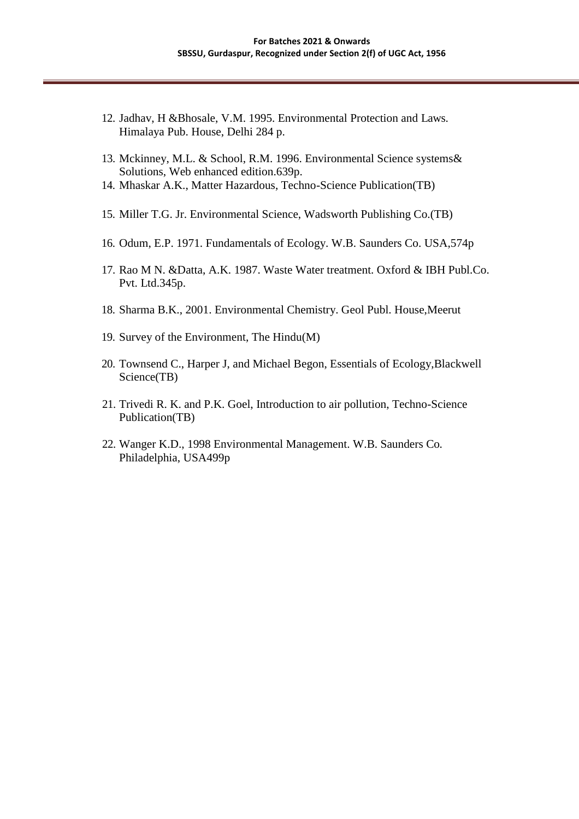- 12. Jadhav, H &Bhosale, V.M. 1995. Environmental Protection and Laws. Himalaya Pub. House, Delhi 284 p.
- 13. Mckinney, M.L. & School, R.M. 1996. Environmental Science systems& Solutions, Web enhanced edition.639p.
- 14. Mhaskar A.K., Matter Hazardous, Techno-Science Publication(TB)
- 15. Miller T.G. Jr. Environmental Science, Wadsworth Publishing Co.(TB)
- 16. Odum, E.P. 1971. Fundamentals of Ecology. W.B. Saunders Co. USA,574p
- 17. Rao M N. &Datta, A.K. 1987. Waste Water treatment. Oxford & IBH Publ.Co. Pvt. Ltd.345p.
- 18. Sharma B.K., 2001. Environmental Chemistry. Geol Publ. House,Meerut
- 19. Survey of the Environment, The Hindu(M)
- 20. Townsend C., Harper J, and Michael Begon, Essentials of Ecology,Blackwell Science(TB)
- 21. Trivedi R. K. and P.K. Goel, Introduction to air pollution, Techno-Science Publication(TB)
- 22. Wanger K.D., 1998 Environmental Management. W.B. Saunders Co. Philadelphia, USA499p